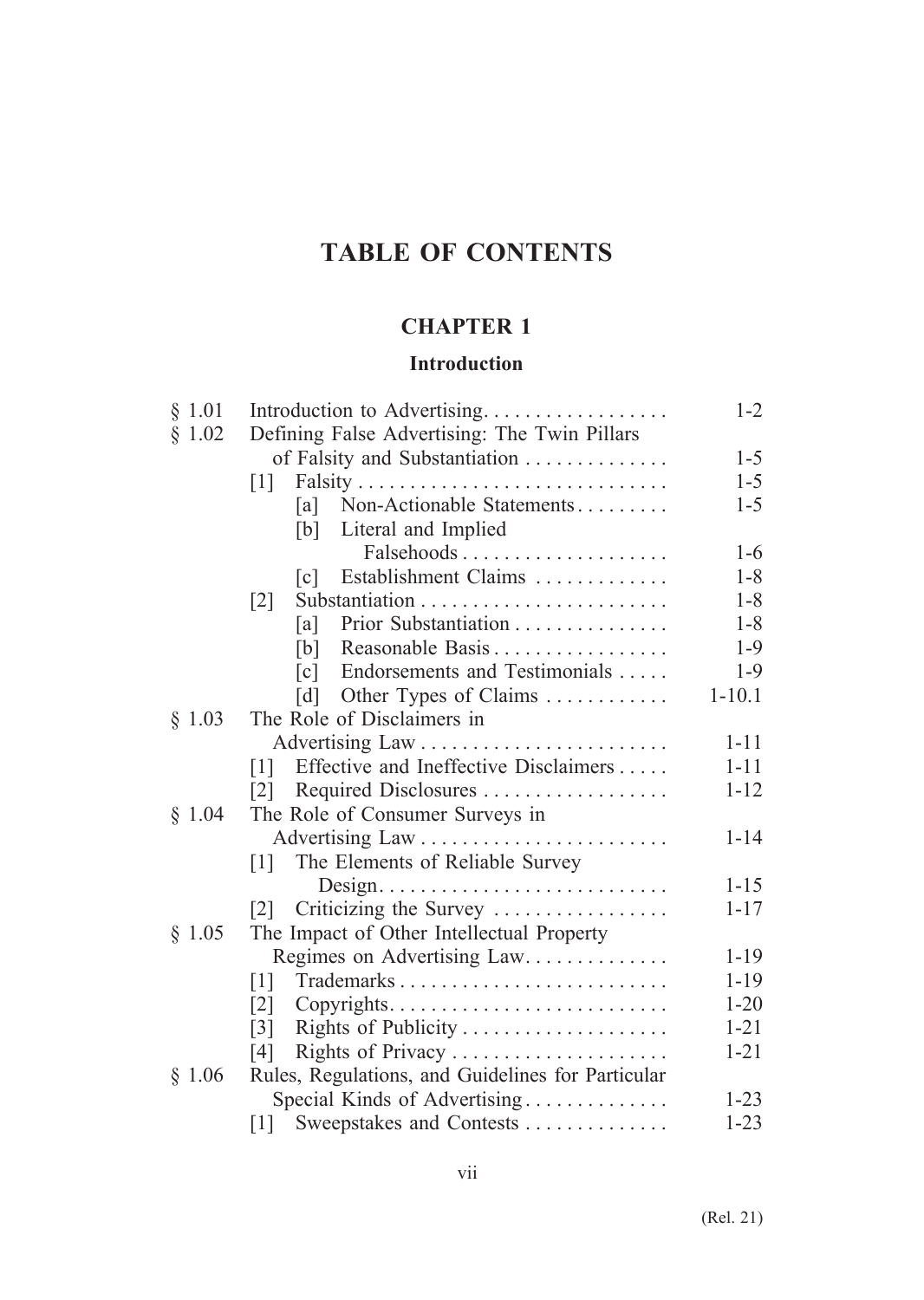# **TABLE OF CONTENTS**

# **CHAPTER 1**

### **Introduction**

| § 1.01 | Introduction to Advertising                          | $1 - 2$    |
|--------|------------------------------------------------------|------------|
| § 1.02 | Defining False Advertising: The Twin Pillars         |            |
|        | of Falsity and Substantiation                        | $1 - 5$    |
|        | $\lceil 1 \rceil$                                    | $1 - 5$    |
|        | Non-Actionable Statements<br>la l                    | $1 - 5$    |
|        | Literal and Implied<br>[b]                           |            |
|        |                                                      | $1-6$      |
|        | Establishment Claims<br>$\lceil c \rceil$            | $1 - 8$    |
|        | $\lceil 2 \rceil$                                    | $1 - 8$    |
|        | Prior Substantiation<br>[a]                          | $1 - 8$    |
|        | Reasonable Basis<br>[b]                              | $1-9$      |
|        | Endorsements and Testimonials<br>$\lceil c \rceil$   | $1-9$      |
|        | Other Types of Claims<br>$\lceil d \rceil$           | $1 - 10.1$ |
| § 1.03 | The Role of Disclaimers in                           |            |
|        |                                                      | $1 - 11$   |
|        | Effective and Ineffective Disclaimers<br>111         | $1 - 11$   |
|        | Required Disclosures<br> 2                           | $1 - 12$   |
| \$1.04 | The Role of Consumer Surveys in                      |            |
|        |                                                      | $1 - 14$   |
|        | The Elements of Reliable Survey<br>$\lceil 1 \rceil$ |            |
|        |                                                      | $1 - 15$   |
|        | Criticizing the Survey<br> 2                         | $1 - 17$   |
| § 1.05 | The Impact of Other Intellectual Property            |            |
|        | Regimes on Advertising Law                           | $1 - 19$   |
|        | [1]                                                  | $1 - 19$   |
|        | $\lceil 2 \rceil$                                    | $1 - 20$   |
|        | Rights of Publicity<br>$\lceil 3 \rceil$             | $1 - 21$   |
|        | Rights of Privacy<br>[4]                             | $1 - 21$   |
| \$1.06 | Rules, Regulations, and Guidelines for Particular    |            |
|        | Special Kinds of Advertising                         | $1 - 23$   |
|        | Sweepstakes and Contests<br>[1]                      | $1 - 23$   |
|        |                                                      |            |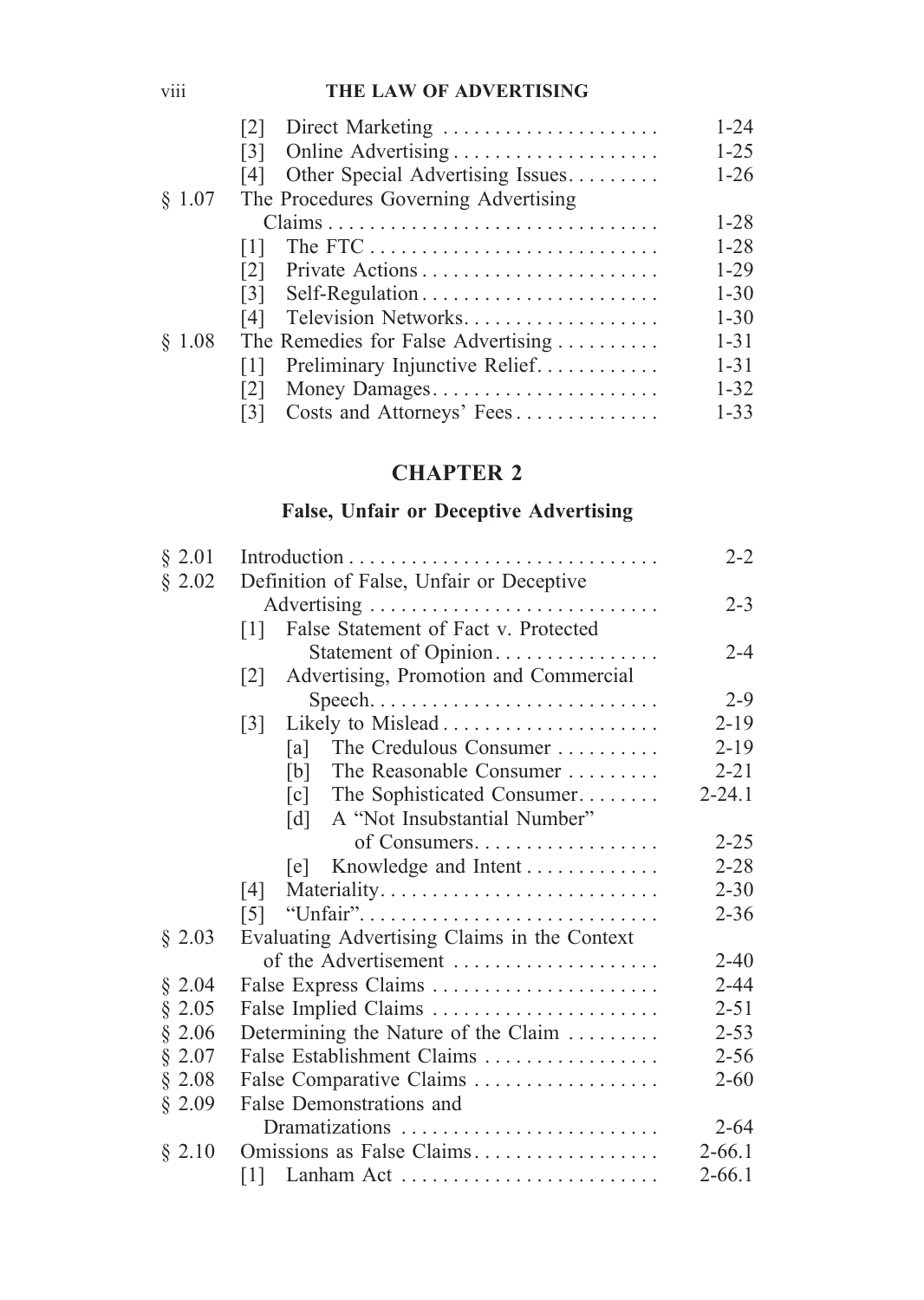### viii **THE LAW OF ADVERTISING**

|        | Direct Marketing<br>[2]                  | $1 - 24$ |
|--------|------------------------------------------|----------|
|        | $\lceil 3 \rceil$                        | $1 - 25$ |
|        | Other Special Advertising Issues<br>14 I | $1 - 26$ |
| § 1.07 | The Procedures Governing Advertising     |          |
|        |                                          | $1 - 28$ |
|        | 1                                        | $1 - 28$ |
|        | [2]                                      | $1-29$   |
|        | Self-Regulation<br>$\lceil 3 \rceil$     | $1 - 30$ |
|        | Television Networks<br>[4]               | $1 - 30$ |
| \$1.08 | The Remedies for False Advertising       | $1 - 31$ |
|        | Preliminary Injunctive Relief<br> 1      | $1 - 31$ |
|        | Money Damages<br> 2                      | $1 - 32$ |
|        | Costs and Attorneys' Fees<br>131         | $1 - 33$ |
|        |                                          |          |

# **CHAPTER 2**

# **False, Unfair or Deceptive Advertising**

| § 2.01 |                                                 |            |  |  |  |
|--------|-------------------------------------------------|------------|--|--|--|
| § 2.02 | Definition of False, Unfair or Deceptive        |            |  |  |  |
|        |                                                 | $2 - 3$    |  |  |  |
|        | False Statement of Fact v. Protected<br> 1      |            |  |  |  |
|        | Statement of Opinion                            | $2 - 4$    |  |  |  |
|        | Advertising, Promotion and Commercial<br> 2     |            |  |  |  |
|        | Speech                                          | $2 - 9$    |  |  |  |
|        | $\lceil 3 \rceil$                               | $2 - 19$   |  |  |  |
|        | The Credulous Consumer<br>[a]                   | $2 - 19$   |  |  |  |
|        | The Reasonable Consumer<br>[b]                  | $2 - 21$   |  |  |  |
|        | The Sophisticated Consumer<br>$\lceil c \rceil$ | $2 - 24.1$ |  |  |  |
|        | A "Not Insubstantial Number"<br>[d]             |            |  |  |  |
|        | of Consumers                                    | $2 - 25$   |  |  |  |
|        | Knowledge and Intent<br> e                      | $2 - 28$   |  |  |  |
|        | $[4]$                                           | $2 - 30$   |  |  |  |
|        | 151                                             | $2 - 36$   |  |  |  |
| § 2.03 | Evaluating Advertising Claims in the Context    |            |  |  |  |
|        | of the Advertisement                            | $2 - 40$   |  |  |  |
| § 2.04 | False Express Claims                            | $2 - 44$   |  |  |  |
| § 2.05 | False Implied Claims                            | $2 - 51$   |  |  |  |
| § 2.06 | Determining the Nature of the Claim             | $2 - 53$   |  |  |  |
| § 2.07 | False Establishment Claims                      | $2 - 56$   |  |  |  |
| § 2.08 | False Comparative Claims                        | $2 - 60$   |  |  |  |
| § 2.09 | False Demonstrations and                        |            |  |  |  |
|        | Dramatizations                                  | $2 - 64$   |  |  |  |
| § 2.10 | Omissions as False Claims                       | $2 - 66.1$ |  |  |  |
|        | Lanham Act<br> 1                                | $2 - 66.1$ |  |  |  |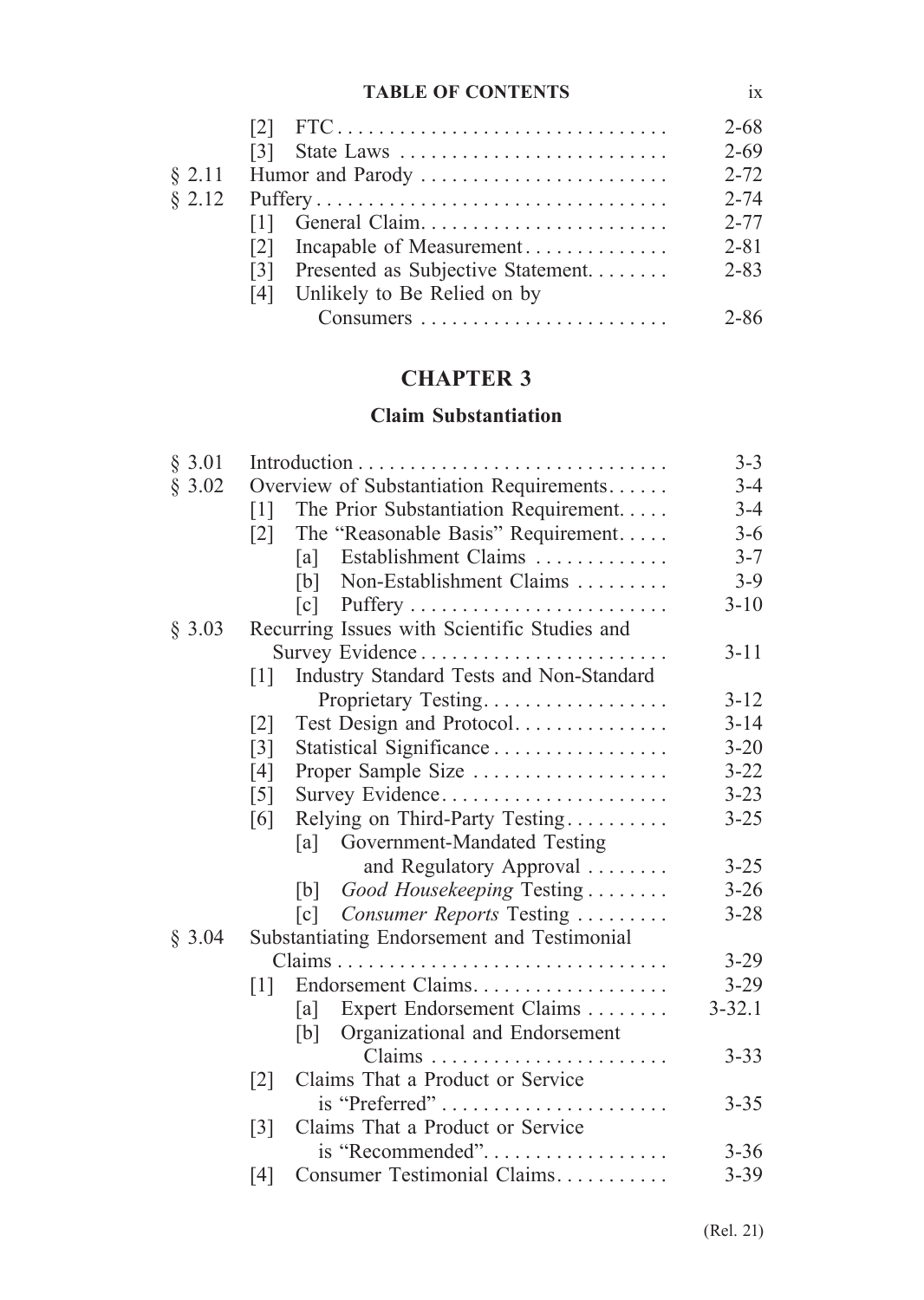#### **TABLE OF CONTENTS** ix

|        |                                          | $2 - 68$ |  |  |
|--------|------------------------------------------|----------|--|--|
|        |                                          | $2 - 69$ |  |  |
|        |                                          |          |  |  |
| \$2.12 |                                          | $2 - 74$ |  |  |
|        | General Claim<br>111                     | $2 - 77$ |  |  |
|        | Incapable of Measurement<br> 2           | $2 - 81$ |  |  |
|        | Presented as Subjective Statement<br>131 | $2 - 83$ |  |  |
|        | [4] Unlikely to Be Relied on by          |          |  |  |
|        |                                          | $2 - 86$ |  |  |
|        |                                          |          |  |  |

# **CHAPTER 3**

### **Claim Substantiation**

| § 3.01 |                                                           | $3 - 3$    |
|--------|-----------------------------------------------------------|------------|
| § 3.02 | Overview of Substantiation Requirements                   | $3 - 4$    |
|        | The Prior Substantiation Requirement<br>$\lceil 1 \rceil$ | $3 - 4$    |
|        | The "Reasonable Basis" Requirement<br>$\lceil 2 \rceil$   | $3 - 6$    |
|        | Establishment Claims<br>[a]                               | $3 - 7$    |
|        | Non-Establishment Claims<br>[b]                           | $3-9$      |
|        | $\lceil c \rceil$                                         | $3 - 10$   |
| § 3.03 | Recurring Issues with Scientific Studies and              |            |
|        | Survey Evidence                                           | $3 - 11$   |
|        | Industry Standard Tests and Non-Standard<br> 1            |            |
|        | Proprietary Testing                                       | $3 - 12$   |
|        | Test Design and Protocol<br>$\lceil 2 \rceil$             | $3 - 14$   |
|        | Statistical Significance<br>$\lceil 3 \rceil$             | $3 - 20$   |
|        | Proper Sample Size<br>[4]                                 | $3 - 22$   |
|        | Survey Evidence<br>$\lceil 5 \rceil$                      | $3 - 23$   |
|        | Relying on Third-Party Testing<br>[6]                     | $3 - 25$   |
|        | [a] Government-Mandated Testing                           |            |
|        | and Regulatory Approval                                   | $3 - 25$   |
|        | Good Housekeeping Testing<br>[b]                          | $3 - 26$   |
|        | Consumer Reports Testing<br>$\lceil c \rceil$             | $3 - 28$   |
| § 3.04 | Substantiating Endorsement and Testimonial                |            |
|        |                                                           | $3 - 29$   |
|        | Endorsement Claims<br>$\lceil 1 \rceil$                   | $3-29$     |
|        | Expert Endorsement Claims<br>[a]                          | $3 - 32.1$ |
|        | Organizational and Endorsement<br>[b]                     |            |
|        |                                                           | $3 - 33$   |
|        | Claims That a Product or Service<br>$\lceil 2 \rceil$     |            |
|        | is "Preferred"                                            | $3 - 35$   |
|        | Claims That a Product or Service<br>$\lceil 3 \rceil$     |            |
|        | is "Recommended"                                          | $3 - 36$   |
|        | Consumer Testimonial Claims<br>[4]                        | $3 - 39$   |
|        |                                                           |            |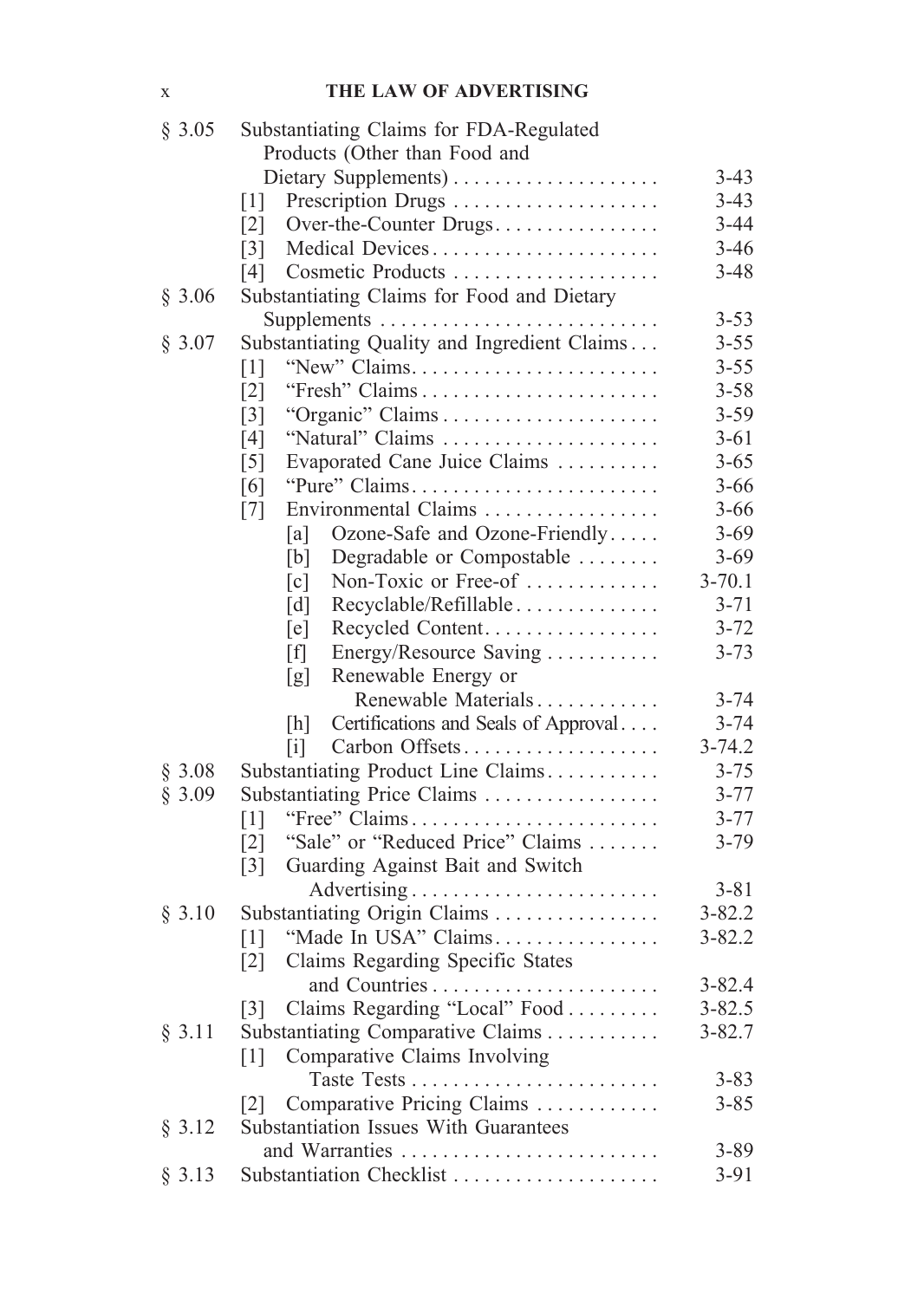#### x **THE LAW OF ADVERTISING**

| § 3.05 | Substantiating Claims for FDA-Regulated               |            |
|--------|-------------------------------------------------------|------------|
|        | Products (Other than Food and                         |            |
|        |                                                       | $3-43$     |
|        | Prescription Drugs<br>$\lceil 1 \rceil$               | $3-43$     |
|        | $\lceil 2 \rceil$<br>Over-the-Counter Drugs           | $3 - 44$   |
|        | Medical Devices<br>$\lceil 3 \rceil$                  | $3-46$     |
|        | Cosmetic Products<br>[4]                              | $3 - 48$   |
| § 3.06 | Substantiating Claims for Food and Dietary            |            |
|        |                                                       | $3 - 53$   |
| § 3.07 | Substantiating Quality and Ingredient Claims          | $3 - 55$   |
|        | "New" Claims<br>$\lceil 1 \rceil$                     | $3 - 55$   |
|        | $\lceil 2 \rceil$                                     | $3 - 58$   |
|        | $\lceil 3 \rceil$                                     | $3 - 59$   |
|        | "Natural" Claims<br>[4]                               | $3 - 61$   |
|        | Evaporated Cane Juice Claims<br>$\lceil 5 \rceil$     | $3 - 65$   |
|        | "Pure" Claims<br>[6]                                  | $3 - 66$   |
|        | Environmental Claims<br>$\lceil 7 \rceil$             | $3 - 66$   |
|        | Ozone-Safe and Ozone-Friendly<br>[a]                  | $3 - 69$   |
|        | Degradable or Compostable<br>[b]                      | $3 - 69$   |
|        | Non-Toxic or Free-of<br>$\lceil c \rceil$             | $3 - 70.1$ |
|        | [d]<br>Recyclable/Refillable                          | $3 - 71$   |
|        | [e]<br>Recycled Content                               | $3 - 72$   |
|        | $\lceil f \rceil$<br>Energy/Resource Saving           | $3 - 73$   |
|        | Renewable Energy or<br>[g]                            |            |
|        | Renewable Materials                                   | $3 - 74$   |
|        | Certifications and Seals of Approval<br>[h]           | $3 - 74$   |
|        | Carbon Offsets<br>$\lceil i \rceil$                   | $3 - 74.2$ |
| \$3.08 | Substantiating Product Line Claims                    | $3 - 75$   |
| § 3.09 | Substantiating Price Claims                           | $3 - 77$   |
|        | "Free" Claims<br>$\lceil 1 \rceil$                    | $3 - 77$   |
|        | "Sale" or "Reduced Price" Claims<br>$\lceil 2 \rceil$ | $3 - 79$   |
|        | Guarding Against Bait and Switch<br>$\lceil 3 \rceil$ |            |
|        |                                                       | $3 - 81$   |
| § 3.10 | Substantiating Origin Claims                          | $3 - 82.2$ |
|        | "Made In USA" Claims<br>$\lceil 1 \rceil$             | $3 - 82.2$ |
|        | Claims Regarding Specific States<br>$\lceil 2 \rceil$ |            |
|        |                                                       | $3 - 82.4$ |
|        | Claims Regarding "Local" Food<br>$\lceil 3 \rceil$    | $3 - 82.5$ |
| § 3.11 | Substantiating Comparative Claims                     | $3 - 82.7$ |
|        | Comparative Claims Involving<br>$\lceil 1 \rceil$     |            |
|        |                                                       | $3 - 83$   |
|        |                                                       |            |
|        | Comparative Pricing Claims<br> 2                      | $3 - 85$   |
| § 3.12 | <b>Substantiation Issues With Guarantees</b>          |            |
|        | and Warranties                                        | $3 - 89$   |
| § 3.13 | Substantiation Checklist                              | $3-91$     |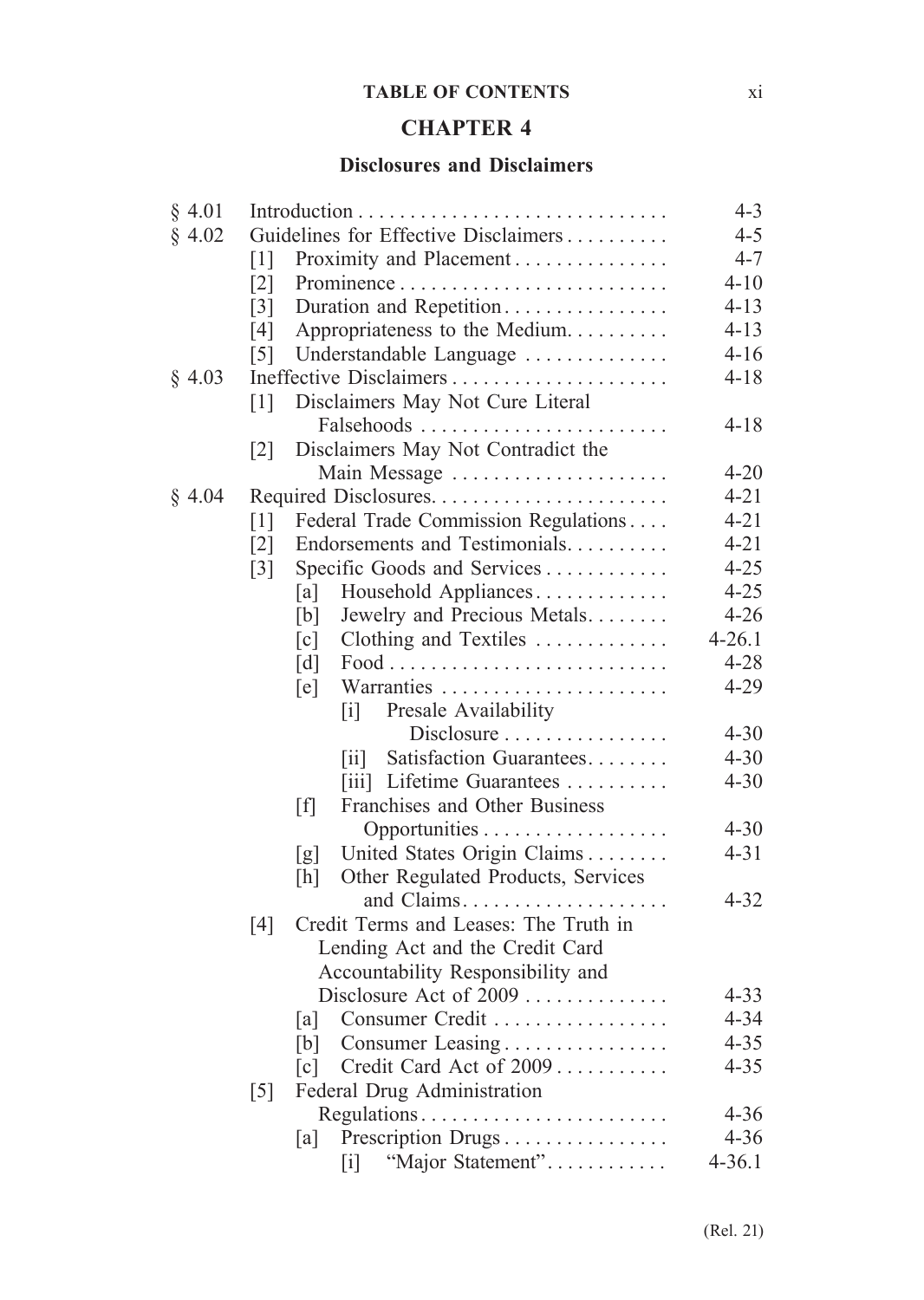#### **TABLE OF CONTENTS** xi

# **CHAPTER 4**

#### **Disclosures and Disclaimers**

| § 4.01 |                                                                           | $4 - 3$    |
|--------|---------------------------------------------------------------------------|------------|
| § 4.02 | Guidelines for Effective Disclaimers                                      | $4 - 5$    |
|        | Proximity and Placement<br>$\lceil 1 \rceil$                              | $4 - 7$    |
|        | $\lceil 2 \rceil$                                                         | $4 - 10$   |
|        | Duration and Repetition<br>$\lceil 3 \rceil$                              | $4 - 13$   |
|        | Appropriateness to the Medium<br>[4]                                      | $4 - 13$   |
|        | $\lceil 5 \rceil$<br>Understandable Language                              | $4 - 16$   |
| § 4.03 | Ineffective Disclaimers                                                   | $4 - 18$   |
|        | Disclaimers May Not Cure Literal<br>[1]                                   |            |
|        | Falsehoods                                                                | $4 - 18$   |
|        | Disclaimers May Not Contradict the<br>$\lceil 2 \rceil$                   |            |
|        | Main Message                                                              | $4 - 20$   |
| § 4.04 |                                                                           | $4 - 21$   |
|        | Federal Trade Commission Regulations<br>$\lceil 1 \rceil$                 | $4 - 21$   |
|        | Endorsements and Testimonials<br>$\lceil 2 \rceil$                        | $4 - 21$   |
|        | Specific Goods and Services<br>$\lceil 3 \rceil$                          | $4 - 25$   |
|        | Household Appliances<br>[a]                                               | $4 - 25$   |
|        | Jewelry and Precious Metals<br>[b]                                        | $4 - 26$   |
|        | Clothing and Textiles<br>$\lceil c \rceil$                                | $4 - 26.1$ |
|        | $\lceil d \rceil$                                                         | $4 - 28$   |
|        | Warranties<br>[e]                                                         | $4 - 29$   |
|        | Presale Availability<br>$\mathbf{ii}$                                     |            |
|        | Disclosure                                                                | $4 - 30$   |
|        | Satisfaction Guarantees<br>$\left\lceil \text{i} \mathbf{i} \right\rceil$ | $4 - 30$   |
|        | [iii] Lifetime Guarantees                                                 | $4 - 30$   |
|        | [f]<br>Franchises and Other Business                                      |            |
|        |                                                                           | $4 - 30$   |
|        | United States Origin Claims<br>[g]                                        | $4 - 31$   |
|        | Other Regulated Products, Services<br>[h]                                 |            |
|        |                                                                           | $4 - 32$   |
|        | Credit Terms and Leases: The Truth in<br>[4]                              |            |
|        | Lending Act and the Credit Card                                           |            |
|        | Accountability Responsibility and                                         |            |
|        | Disclosure Act of 2009                                                    | $4 - 33$   |
|        | Consumer Credit<br>[a]                                                    | $4 - 34$   |
|        | Consumer Leasing<br>[b]                                                   | $4 - 35$   |
|        | Credit Card Act of 2009<br>$\lceil c \rceil$                              | $4 - 35$   |
|        | Federal Drug Administration<br>$\lceil 5 \rceil$                          |            |
|        | Regulations                                                               | $4 - 36$   |
|        | Prescription Drugs<br>[a]                                                 | $4 - 36$   |
|        | "Major Statement"<br>$\lceil i \rceil$                                    | $4 - 36.1$ |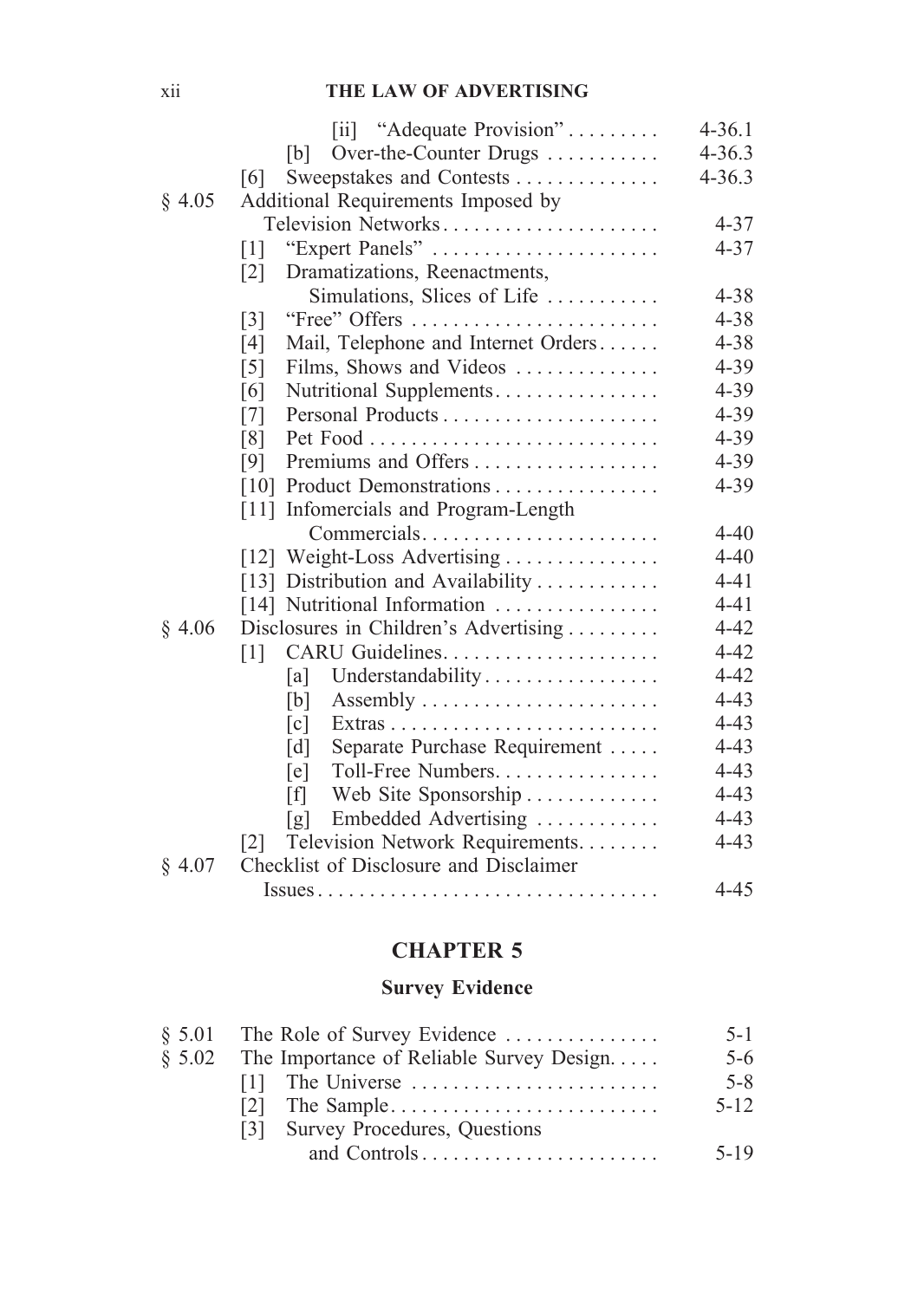### xii **THE LAW OF ADVERTISING**

|        | [ii] "Adequate Provision"                                                                      | $4 - 36.1$ |
|--------|------------------------------------------------------------------------------------------------|------------|
|        | Over-the-Counter Drugs<br>[b]                                                                  | $4 - 36.3$ |
|        | Sweepstakes and Contests<br>[6]                                                                | $4 - 36.3$ |
| § 4.05 | Additional Requirements Imposed by                                                             |            |
|        | Television Networks                                                                            | $4 - 37$   |
|        | "Expert Panels"<br>$\lceil 1 \rceil$                                                           | $4 - 37$   |
|        | Dramatizations, Reenactments,<br>$\lceil 2 \rceil$                                             |            |
|        | Simulations, Slices of Life                                                                    | $4 - 38$   |
|        | "Free" Offers<br>$\lceil 3 \rceil$                                                             | $4 - 38$   |
|        | Mail, Telephone and Internet Orders<br>[4]                                                     | $4 - 38$   |
|        | Films, Shows and Videos<br>$\lceil 5 \rceil$                                                   | $4 - 39$   |
|        | Nutritional Supplements<br>[6]                                                                 | $4 - 39$   |
|        | [7]                                                                                            | $4 - 39$   |
|        | [8]                                                                                            | $4 - 39$   |
|        | Premiums and Offers<br>[9]                                                                     | $4 - 39$   |
|        | [10] Product Demonstrations                                                                    | $4 - 39$   |
|        | [11] Infomercials and Program-Length                                                           |            |
|        | Commercials                                                                                    | $4 - 40$   |
|        | [12] Weight-Loss Advertising                                                                   | $4 - 40$   |
|        | [13] Distribution and Availability                                                             | $4 - 41$   |
|        | [14] Nutritional Information                                                                   | $4 - 41$   |
| \$4.06 | Disclosures in Children's Advertising                                                          | $4 - 42$   |
|        | $\lceil 1 \rceil$                                                                              | $4 - 42$   |
|        | Understandability<br>[a]                                                                       | $4 - 42$   |
|        | [b]                                                                                            | $4 - 43$   |
|        | $\lceil c \rceil$                                                                              | $4 - 43$   |
|        | Separate Purchase Requirement<br>[d]                                                           | $4 - 43$   |
|        | Toll-Free Numbers<br>[e]                                                                       | $4 - 43$   |
|        | [f]<br>Web Site Sponsorship                                                                    | $4 - 43$   |
|        | Embedded Advertising<br>[g]                                                                    | $4 - 43$   |
|        | Television Network Requirements.<br> 2                                                         | $4 - 43$   |
| § 4.07 | Checklist of Disclosure and Disclaimer                                                         |            |
|        | $\text{ Issues} \dots \dots \dots \dots \dots \dots \dots \dots \dots \dots \dots \dots \dots$ | $4 - 45$   |

## **CHAPTER 5**

### **Survey Evidence**

|          | $\S$ 5.01 The Role of Survey Evidence    | $5 - 1$  |
|----------|------------------------------------------|----------|
| \$5.02\$ | The Importance of Reliable Survey Design | $5-6$    |
|          |                                          | $5 - 8$  |
|          | The Sample<br>121                        | $5 - 12$ |
|          | [3] Survey Procedures, Questions         |          |
|          |                                          | $5 - 19$ |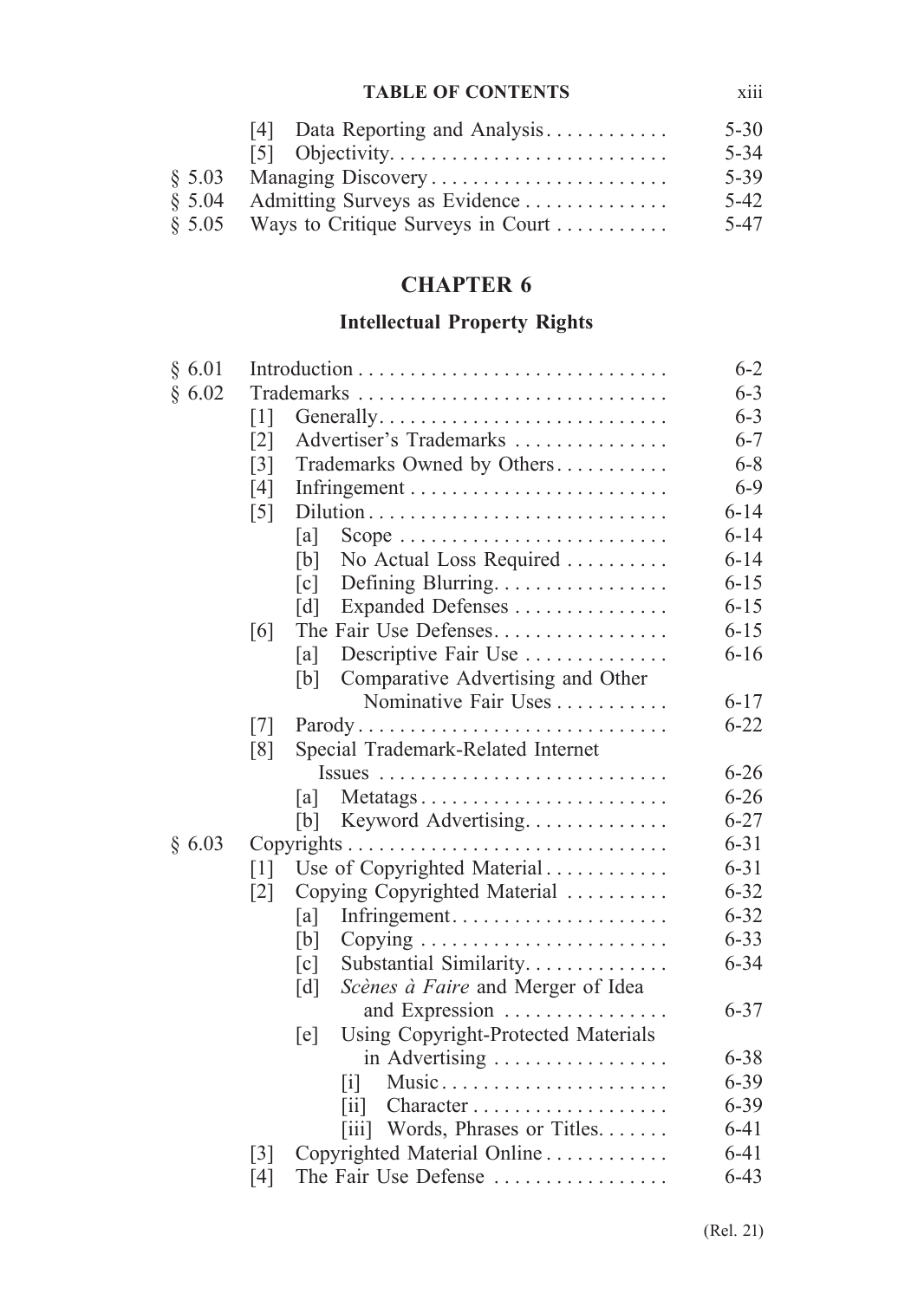### **TABLE OF CONTENTS** xiii

|          | [4] Data Reporting and Analysis            | $5 - 30$ |
|----------|--------------------------------------------|----------|
|          |                                            | $5 - 34$ |
|          |                                            | 5-39     |
| \$5.04\$ | Admitting Surveys as Evidence              | $5-42$   |
|          | $§ 5.05$ Ways to Critique Surveys in Court | 5-47     |

# **CHAPTER 6**

# **Intellectual Property Rights**

| § 6.01 |                                     |                                            | $6 - 2$  |
|--------|-------------------------------------|--------------------------------------------|----------|
| § 6.02 |                                     |                                            | $6 - 3$  |
|        | $\lceil 1 \rceil$                   |                                            | $6 - 3$  |
|        | $\lceil 2 \rceil$                   | Advertiser's Trademarks                    | $6 - 7$  |
|        | $\lceil 3 \rceil$                   | Trademarks Owned by Others                 | $6 - 8$  |
|        | [4]                                 |                                            | $6 - 9$  |
|        | $\lceil 5 \rceil$                   |                                            | $6 - 14$ |
|        | [a]                                 |                                            | $6 - 14$ |
|        | [b]                                 | No Actual Loss Required                    | $6 - 14$ |
|        | $\lceil c \rceil$                   | Defining Blurring.                         | $6 - 15$ |
|        | $\lceil d \rceil$                   | Expanded Defenses                          | $6 - 15$ |
|        | [6]                                 | The Fair Use Defenses                      | $6 - 15$ |
|        | [a]                                 | Descriptive Fair Use                       | $6 - 16$ |
|        | [b]                                 | Comparative Advertising and Other          |          |
|        |                                     | Nominative Fair Uses                       | $6 - 17$ |
|        | $\lceil 7 \rceil$                   | Parody                                     | $6 - 22$ |
|        | [8]                                 | Special Trademark-Related Internet         |          |
|        |                                     |                                            | $6 - 26$ |
|        | a                                   | Metatags                                   | $6 - 26$ |
|        | [b]                                 | Keyword Advertising                        | $6 - 27$ |
| § 6.03 |                                     |                                            | $6 - 31$ |
|        | $\lceil 1 \rceil$                   | Use of Copyrighted Material                | $6 - 31$ |
|        | $\lceil 2 \rceil$                   | Copying Copyrighted Material               | $6 - 32$ |
|        | [a]                                 | Infringement                               | $6 - 32$ |
|        | [b]                                 |                                            | $6 - 33$ |
|        | [c]                                 | Substantial Similarity                     | $6 - 34$ |
|        | $\lceil d \rceil$                   | Scènes à Faire and Merger of Idea          |          |
|        |                                     | and Expression                             | $6 - 37$ |
|        | $[$ e $]$                           | <b>Using Copyright-Protected Materials</b> |          |
|        |                                     | in Advertising                             | $6 - 38$ |
|        | $\lceil i \rceil$                   | Music                                      | $6 - 39$ |
|        | $\left\lceil \text{i} \right\rceil$ |                                            | $6 - 39$ |
|        |                                     | [iii] Words, Phrases or Titles             | $6 - 41$ |
|        | $\lceil 3 \rceil$                   | Copyrighted Material Online                | $6 - 41$ |
|        | [4]                                 | The Fair Use Defense                       | $6 - 43$ |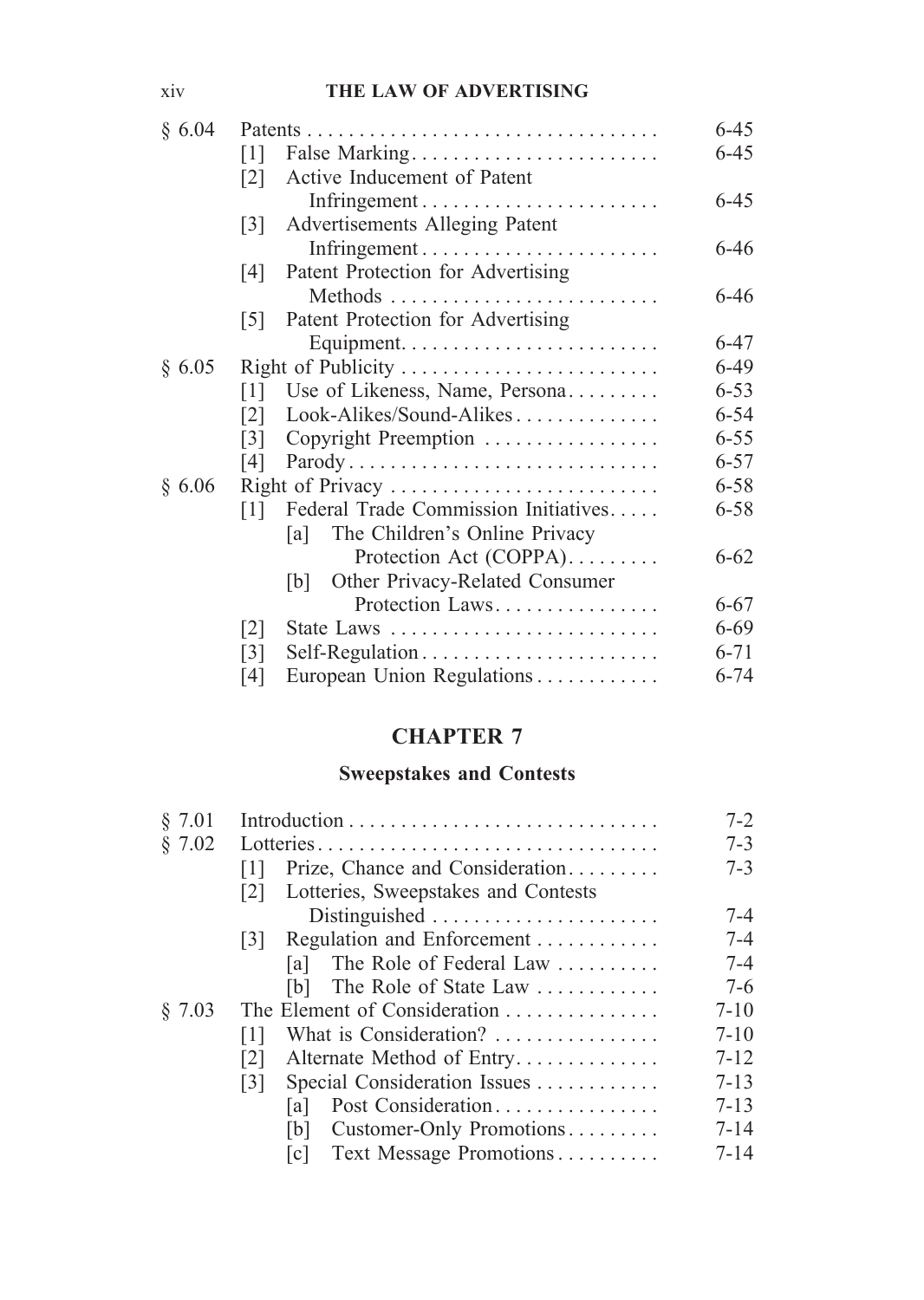### xiv **THE LAW OF ADVERTISING**

| § 6.04 |                    |                                       | $6 - 45$ |
|--------|--------------------|---------------------------------------|----------|
|        | $\lceil 1 \rceil$  | False Marking                         | $6 - 45$ |
|        | $\lceil 2 \rceil$  | Active Inducement of Patent           |          |
|        |                    |                                       | $6 - 45$ |
|        | $\lceil 3 \rceil$  | Advertisements Alleging Patent        |          |
|        |                    |                                       | $6 - 46$ |
|        | $\lceil 4 \rceil$  | Patent Protection for Advertising     |          |
|        |                    |                                       | $6 - 46$ |
|        | $\lceil 5 \rceil$  | Patent Protection for Advertising     |          |
|        |                    |                                       | $6 - 47$ |
| § 6.05 | Right of Publicity |                                       | 6-49     |
|        | $\lceil 1 \rceil$  | Use of Likeness, Name, Persona        | $6 - 53$ |
|        | <u> 2 </u>         | Look-Alikes/Sound-Alikes              | $6 - 54$ |
|        | [3]                | Copyright Preemption                  | $6 - 55$ |
|        | [4]                | Parody                                | $6 - 57$ |
| § 6.06 |                    | Right of Privacy                      | $6 - 58$ |
|        | 1                  | Federal Trade Commission Initiatives  | $6 - 58$ |
|        |                    | The Children's Online Privacy<br>la l |          |
|        |                    | Protection Act (COPPA).               | $6 - 62$ |
|        |                    | Other Privacy-Related Consumer<br> b  |          |
|        |                    | Protection Laws                       | $6 - 67$ |
|        | $\lceil 2 \rceil$  | State Laws                            | $6 - 69$ |
|        | $\lceil 3 \rceil$  |                                       | $6 - 71$ |
|        | [4]                | European Union Regulations            | $6 - 74$ |

# **CHAPTER 7**

## **Sweepstakes and Contests**

| § 7.01 |                                                          |          |  |
|--------|----------------------------------------------------------|----------|--|
| \$7.02 | Lotteries                                                | $7 - 3$  |  |
|        | Prize, Chance and Consideration                          | $7 - 3$  |  |
|        | Lotteries, Sweepstakes and Contests<br>$\lceil 2 \rceil$ |          |  |
|        | Distinguished                                            | $7 - 4$  |  |
|        | Regulation and Enforcement<br> 3                         | $7 - 4$  |  |
|        | The Role of Federal Law<br>lal                           | $7 - 4$  |  |
|        | The Role of State Law<br>[b]                             | $7-6$    |  |
| \$7.03 | The Element of Consideration                             | $7 - 10$ |  |
|        | What is Consideration?<br> 1                             | $7 - 10$ |  |
|        | Alternate Method of Entry<br>$\lceil 2 \rceil$           | $7 - 12$ |  |
|        | Special Consideration Issues<br>$\lceil 3 \rceil$        | $7 - 13$ |  |
|        | Post Consideration<br>lal                                | $7 - 13$ |  |
|        | Customer-Only Promotions<br> b                           | $7 - 14$ |  |
|        | Text Message Promotions<br> c                            | $7 - 14$ |  |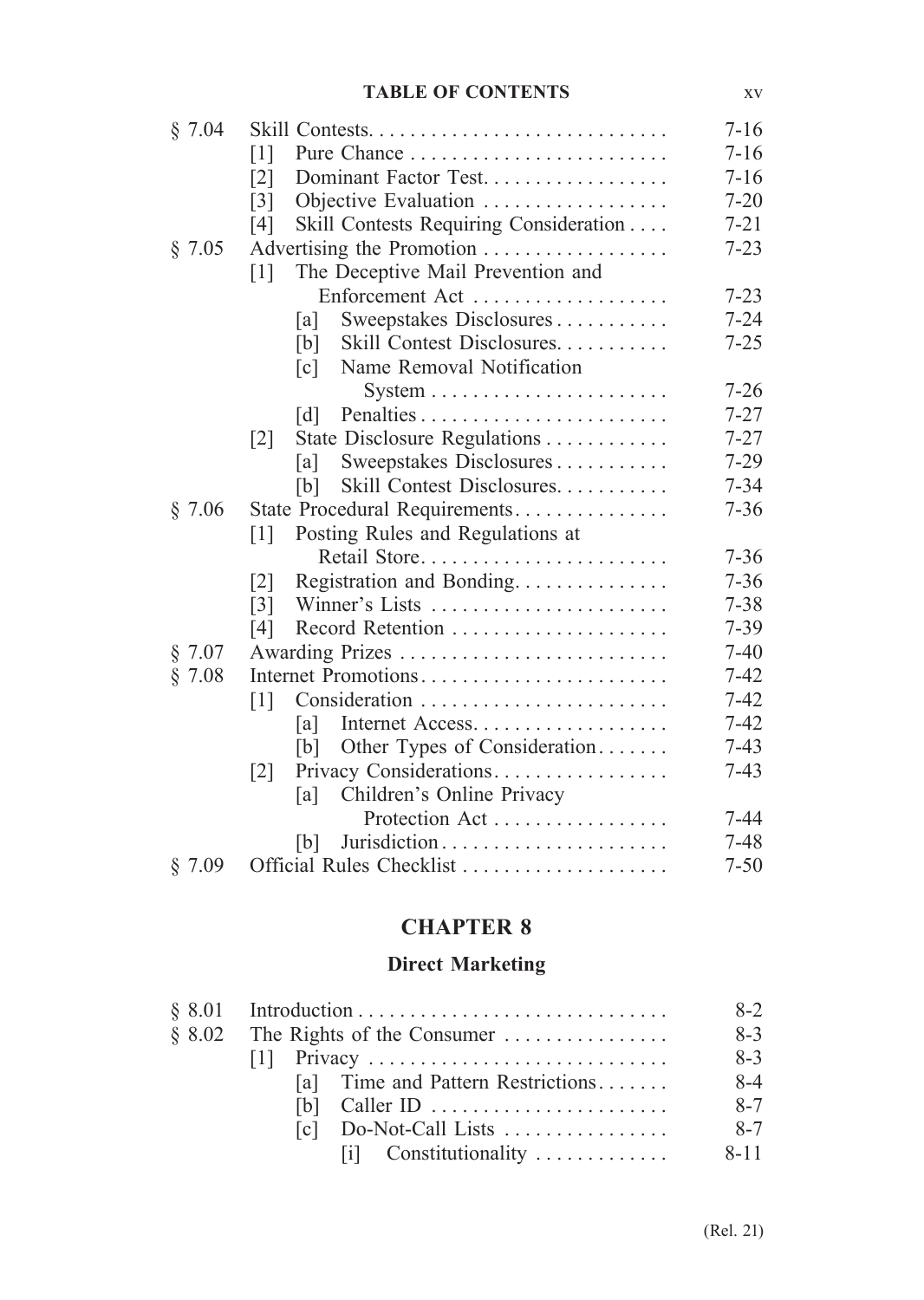#### **TABLE OF CONTENTS** xv

| § 7.04 |                                                        | $7 - 16$ |
|--------|--------------------------------------------------------|----------|
|        | $\lceil 1 \rceil$                                      | $7 - 16$ |
|        | Dominant Factor Test<br>$\lceil 2 \rceil$              | $7 - 16$ |
|        | $\lceil 3 \rceil$<br>Objective Evaluation              | $7 - 20$ |
|        | Skill Contests Requiring Consideration<br>[4]          | $7 - 21$ |
| § 7.05 | Advertising the Promotion                              | $7 - 23$ |
|        | The Deceptive Mail Prevention and<br>$\lceil 1 \rceil$ |          |
|        | Enforcement Act                                        | $7 - 23$ |
|        | Sweepstakes Disclosures<br>[a]                         | $7 - 24$ |
|        | Skill Contest Disclosures<br>[b]                       | $7 - 25$ |
|        | Name Removal Notification<br>$\lceil c \rceil$         |          |
|        |                                                        | $7 - 26$ |
|        | $\lceil d \rceil$                                      | $7 - 27$ |
|        | State Disclosure Regulations<br>$\lceil 2 \rceil$      | $7 - 27$ |
|        | Sweepstakes Disclosures<br>[a]                         | $7 - 29$ |
|        | Skill Contest Disclosures<br>[b]                       | $7 - 34$ |
| § 7.06 | State Procedural Requirements                          | $7 - 36$ |
|        | Posting Rules and Regulations at<br>$\lceil 1 \rceil$  |          |
|        | Retail Store                                           | $7 - 36$ |
|        | Registration and Bonding<br>$\lceil 2 \rceil$          | $7 - 36$ |
|        | Winner's Lists<br>$\lceil 3 \rceil$                    | $7 - 38$ |
|        | [4]                                                    | $7 - 39$ |
| § 7.07 |                                                        | $7 - 40$ |
| § 7.08 | Internet Promotions                                    | $7 - 42$ |
|        | $\lceil 1 \rceil$                                      | $7 - 42$ |
|        | Internet Access<br> a                                  | $7 - 42$ |
|        | Other Types of Consideration<br>[b]                    | $7 - 43$ |
|        | Privacy Considerations<br>$\lceil 2 \rceil$            | $7 - 43$ |
|        | Children's Online Privacy<br>[a]                       |          |
|        | Protection Act                                         | $7 - 44$ |
|        | b                                                      | $7 - 48$ |
| § 7.09 | Official Rules Checklist                               | $7 - 50$ |

# **CHAPTER 8**

# **Direct Marketing**

| \$8.02\$ | The Rights of the Consumer        | $8-3$    |  |  |  |
|----------|-----------------------------------|----------|--|--|--|
|          |                                   | $8-3$    |  |  |  |
|          | [a] Time and Pattern Restrictions | $8-4$    |  |  |  |
|          |                                   | $8 - 7$  |  |  |  |
|          | $[c]$ Do-Not-Call Lists           | $8 - 7$  |  |  |  |
|          | $[i]$ Constitutionality           | $8 - 11$ |  |  |  |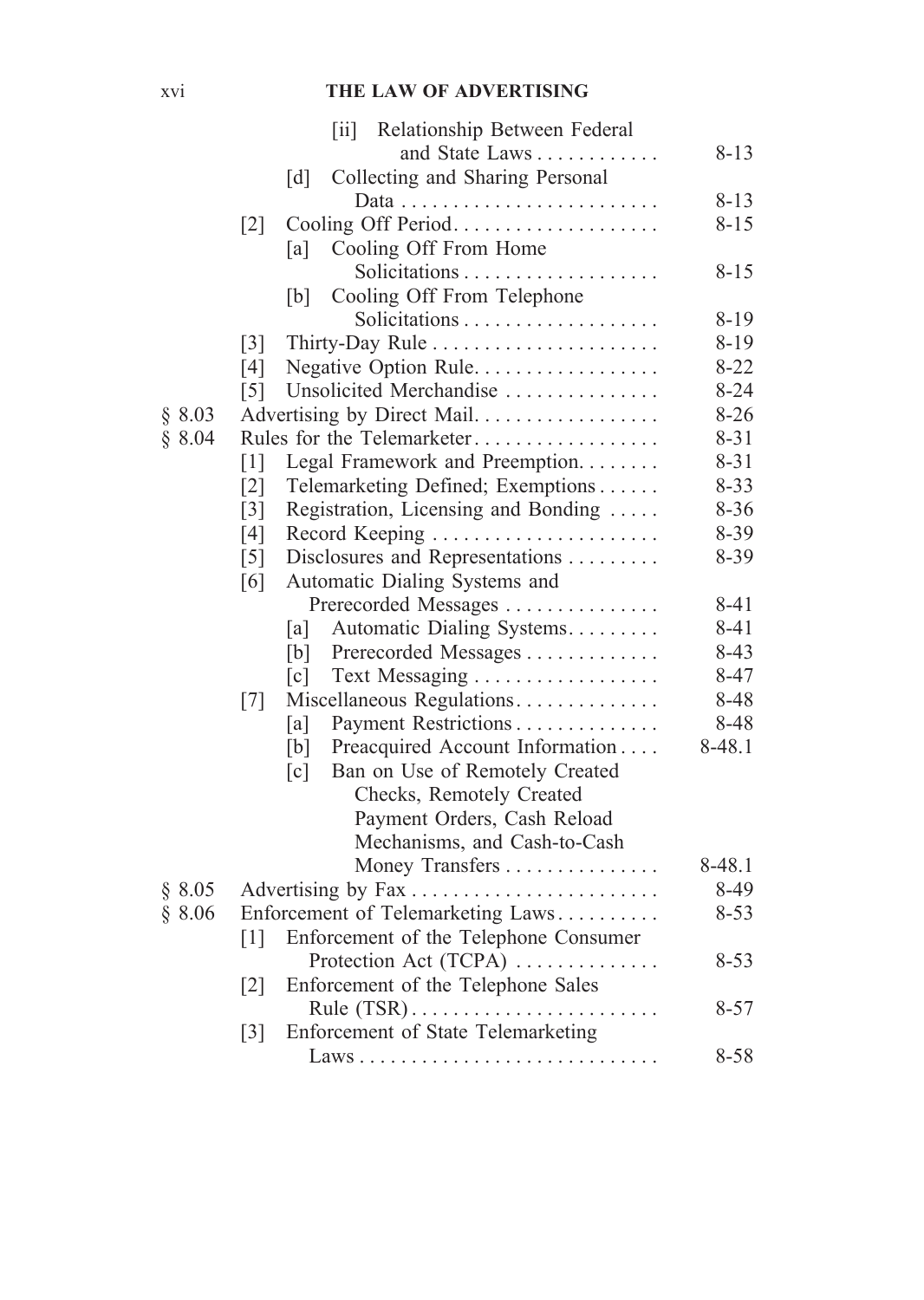## xvi **THE LAW OF ADVERTISING**

|        | $\left[\text{iii}\right]$<br>Relationship Between Federal  |          |
|--------|------------------------------------------------------------|----------|
|        | and State Laws                                             | $8 - 13$ |
|        | Collecting and Sharing Personal<br>[d]                     |          |
|        |                                                            | $8 - 13$ |
|        | $[2]$                                                      | $8 - 15$ |
|        | Cooling Off From Home<br>[a]                               |          |
|        |                                                            | $8 - 15$ |
|        | Cooling Off From Telephone<br>[b]                          |          |
|        |                                                            | $8 - 19$ |
|        | $\lceil 3 \rceil$                                          | $8 - 19$ |
|        | Negative Option Rule<br>[4]                                | $8 - 22$ |
|        | Unsolicited Merchandise<br>$\lceil 5 \rceil$               | $8 - 24$ |
| § 8.03 | Advertising by Direct Mail.                                | $8 - 26$ |
| \$8.04 | Rules for the Telemarketer                                 | $8 - 31$ |
|        | [1]<br>Legal Framework and Preemption                      | $8 - 31$ |
|        | $\lceil 2 \rceil$<br>Telemarketing Defined; Exemptions     | $8 - 33$ |
|        | $\lceil 3 \rceil$<br>Registration, Licensing and Bonding   | $8 - 36$ |
|        | [4]<br>Record Keeping                                      | $8 - 39$ |
|        | $\lceil 5 \rceil$<br>Disclosures and Representations       | $8 - 39$ |
|        | Automatic Dialing Systems and<br>[6]                       |          |
|        | Prerecorded Messages                                       | $8 - 41$ |
|        | Automatic Dialing Systems<br>[a]                           | 8-41     |
|        | [b]<br>Prerecorded Messages                                | $8 - 43$ |
|        | Text Messaging<br>$\lceil c \rceil$                        | $8 - 47$ |
|        | Miscellaneous Regulations<br>[7]                           | 8-48     |
|        | Payment Restrictions<br>[a]                                | 8-48     |
|        | [b]<br>Preacquired Account Information                     | 8-48.1   |
|        | $\lceil c \rceil$<br>Ban on Use of Remotely Created        |          |
|        | Checks, Remotely Created                                   |          |
|        | Payment Orders, Cash Reload                                |          |
|        | Mechanisms, and Cash-to-Cash                               |          |
|        | Money Transfers                                            | 8-48.1   |
| § 8.05 |                                                            | 8-49     |
| § 8.06 | Enforcement of Telemarketing Laws                          | $8 - 53$ |
|        | Enforcement of the Telephone Consumer<br>$\lceil 1 \rceil$ |          |
|        | Protection Act (TCPA)                                      | $8 - 53$ |
|        | $\lceil 2 \rceil$<br>Enforcement of the Telephone Sales    |          |
|        |                                                            | $8 - 57$ |
|        | Enforcement of State Telemarketing<br>$\lceil 3 \rceil$    |          |
|        |                                                            | 8-58     |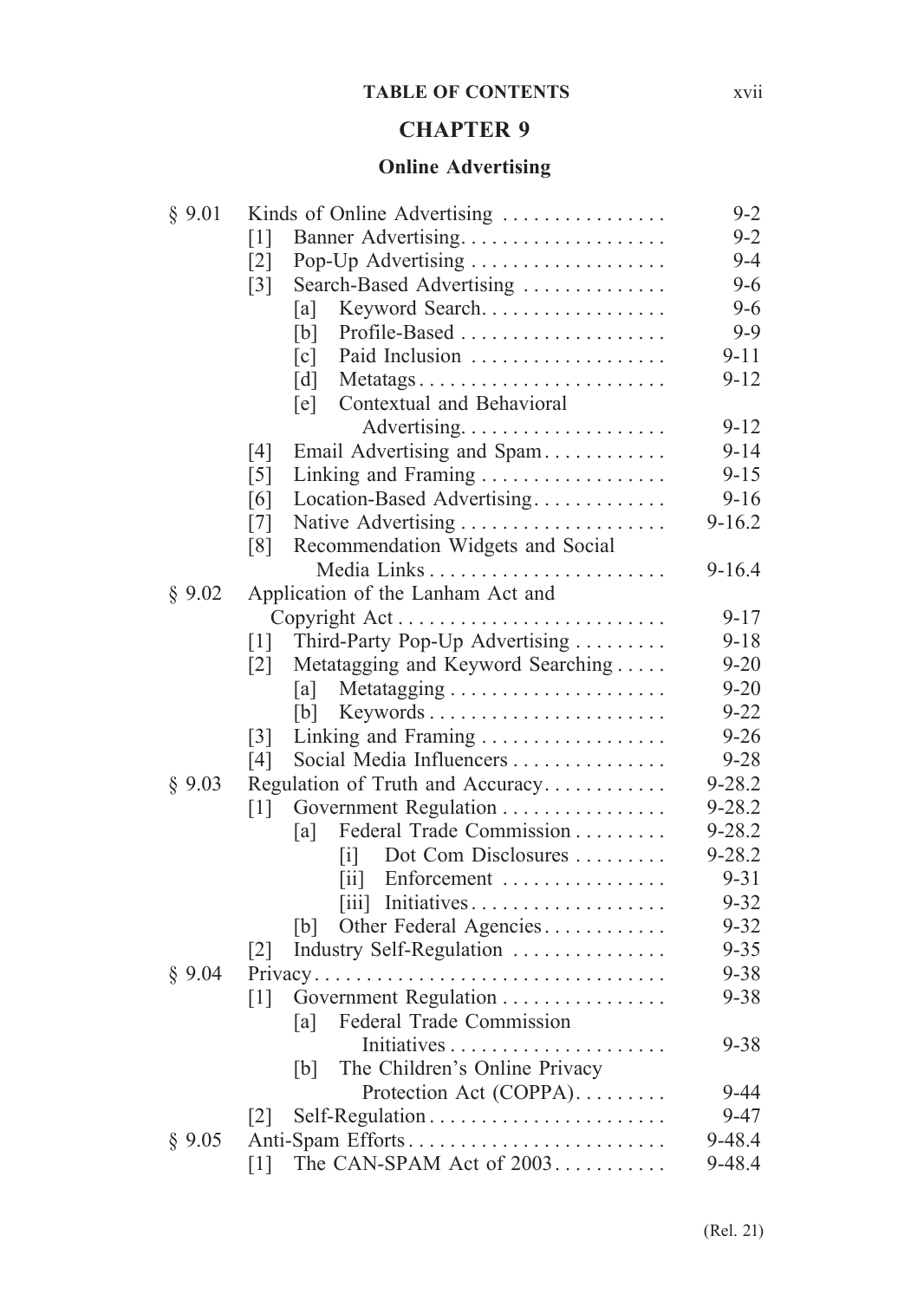### **TABLE OF CONTENTS** xvii

### **CHAPTER 9**

# **Online Advertising**

| § 9.01 | Kinds of Online Advertising                            | $9 - 2$    |
|--------|--------------------------------------------------------|------------|
|        | $\lceil 1 \rceil$                                      | $9 - 2$    |
|        | Pop-Up Advertising<br>$\lceil 2 \rceil$                | $9 - 4$    |
|        | $\lceil 3 \rceil$<br>Search-Based Advertising          | $9 - 6$    |
|        | Keyword Search<br> a                                   | $9 - 6$    |
|        | Profile-Based<br>[b]                                   | $9 - 9$    |
|        | Paid Inclusion<br>$\lceil c \rceil$                    | $9 - 11$   |
|        | [d]<br>Metatags                                        | $9 - 12$   |
|        | Contextual and Behavioral<br>[e]                       |            |
|        |                                                        | $9 - 12$   |
|        | [4]<br>Email Advertising and Spam                      | $9 - 14$   |
|        | $\lceil 5 \rceil$<br>Linking and Framing               | $9 - 15$   |
|        | Location-Based Advertising<br>[6]                      | $9 - 16$   |
|        | [7]                                                    | $9 - 16.2$ |
|        | Recommendation Widgets and Social<br>[8]               |            |
|        |                                                        | $9 - 16.4$ |
| § 9.02 | Application of the Lanham Act and                      |            |
|        | Copyright Act                                          | $9 - 17$   |
|        | Third-Party Pop-Up Advertising<br>[1]                  | $9 - 18$   |
|        | $\lceil 2 \rceil$<br>Metatagging and Keyword Searching | $9 - 20$   |
|        | a                                                      | $9 - 20$   |
|        | [b]<br>Keywords                                        | $9 - 22$   |
|        | $\lceil 3 \rceil$<br>Linking and Framing               | $9 - 26$   |
|        | Social Media Influencers<br>[4]                        | $9 - 28$   |
| § 9.03 | Regulation of Truth and Accuracy                       | $9 - 28.2$ |
|        | Government Regulation<br>$\lceil 1 \rceil$             | 9-28.2     |
|        | Federal Trade Commission<br>[a]                        | 9-28.2     |
|        | Dot Com Disclosures<br>$\lceil i \rceil$               | $9 - 28.2$ |
|        | Enforcement<br>$\left[\text{iii}\right]$               | $9 - 31$   |
|        | [iii] Initiatives                                      | $9 - 32$   |
|        | Other Federal Agencies<br> b                           | $9 - 32$   |
|        | Industry Self-Regulation<br>$\lceil 2 \rceil$          | $9 - 35$   |
| § 9.04 |                                                        | $9 - 38$   |
|        | [1]<br>Government Regulation                           | $9 - 38$   |
|        | Federal Trade Commission<br>[a]                        |            |
|        |                                                        | $9 - 38$   |
|        | The Children's Online Privacy<br>[b]                   |            |
|        | Protection Act (COPPA).                                | $9 - 44$   |
|        | $\lceil 2 \rceil$                                      | $9 - 47$   |
| § 9.05 | Anti-Spam Efforts                                      | 9-48.4     |
|        | The CAN-SPAM Act of 2003<br>[1]                        | 9-48.4     |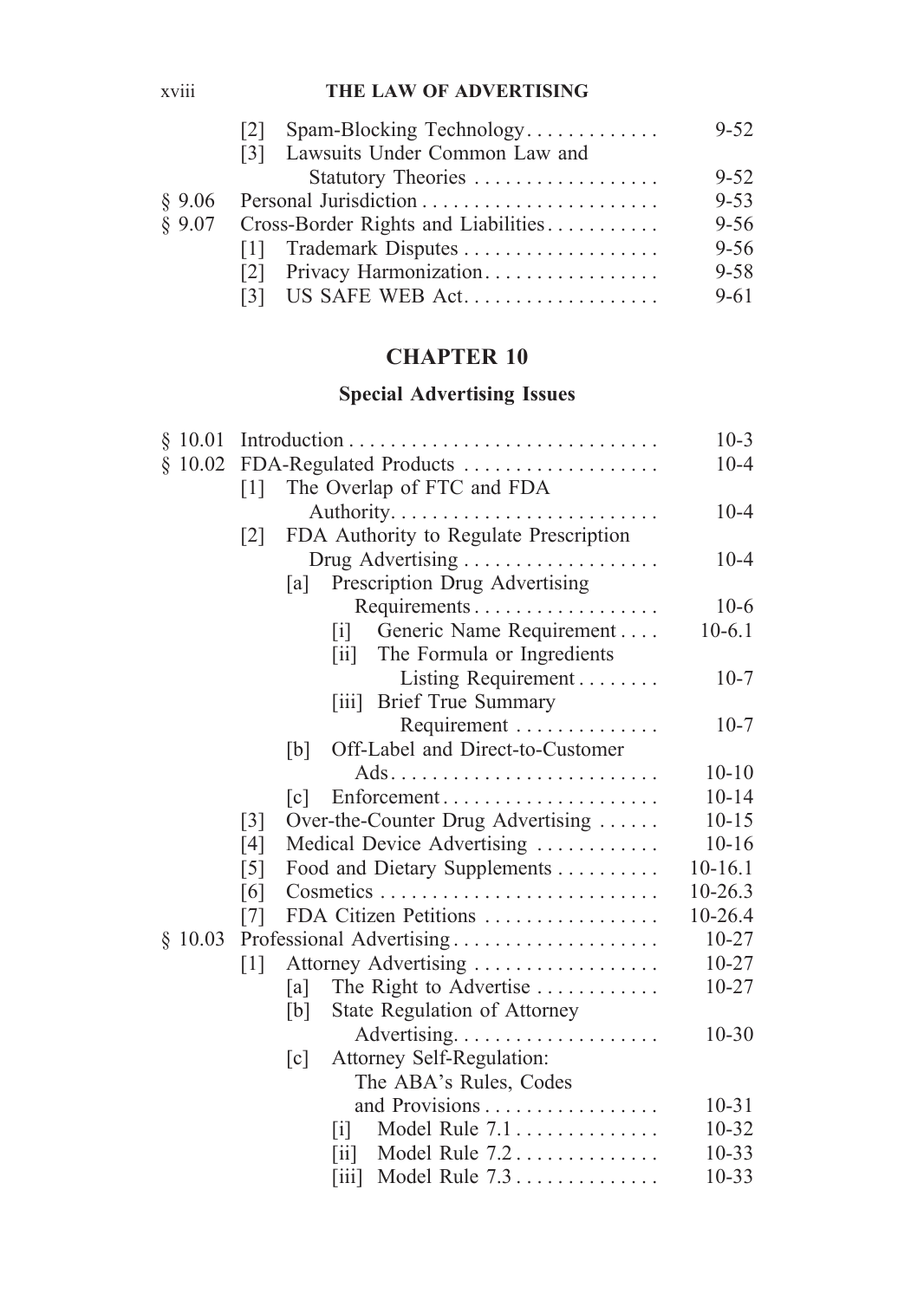### xviii **THE LAW OF ADVERTISING**

|           | Spam-Blocking Technology<br> 2               | $9 - 52$ |  |
|-----------|----------------------------------------------|----------|--|
|           | [3] Lawsuits Under Common Law and            |          |  |
|           |                                              | $9 - 52$ |  |
| $\S$ 9.06 |                                              | $9 - 53$ |  |
|           | $§$ 9.07 Cross-Border Rights and Liabilities |          |  |
|           | Trademark Disputes<br>111                    | $9 - 56$ |  |
|           | Privacy Harmonization<br> 2                  | $9 - 58$ |  |
|           |                                              | $9 - 61$ |  |

# **CHAPTER 10**

# **Special Advertising Issues**

| \$10.01 |                        |                   |                                   |                                        | $10 - 3$    |
|---------|------------------------|-------------------|-----------------------------------|----------------------------------------|-------------|
| \$10.02 | FDA-Regulated Products | $10 - 4$          |                                   |                                        |             |
|         | $\lceil 1 \rceil$      |                   |                                   | The Overlap of FTC and FDA             |             |
|         |                        |                   |                                   |                                        | $10 - 4$    |
|         | $\lceil 2 \rceil$      |                   |                                   | FDA Authority to Regulate Prescription |             |
|         |                        |                   |                                   |                                        | $10 - 4$    |
|         |                        | [a]               |                                   | Prescription Drug Advertising          |             |
|         |                        |                   |                                   |                                        | $10-6$      |
|         |                        |                   | $\begin{bmatrix} 1 \end{bmatrix}$ | Generic Name Requirement               | $10-6.1$    |
|         |                        |                   | $\left[ \text{ii} \right]$        | The Formula or Ingredients             |             |
|         |                        |                   |                                   | Listing Requirement                    | $10-7$      |
|         |                        |                   | $\vert \overline{1}11 \vert$      | <b>Brief True Summary</b>              |             |
|         |                        |                   |                                   | Requirement                            | $10-7$      |
|         |                        | [b]               |                                   | Off-Label and Direct-to-Customer       |             |
|         |                        |                   |                                   |                                        | $10 - 10$   |
|         |                        | c                 |                                   | Enforcement                            | $10 - 14$   |
|         | $\lceil 3 \rceil$      |                   |                                   | Over-the-Counter Drug Advertising      | $10 - 15$   |
|         | [4]                    |                   |                                   | Medical Device Advertising             | $10 - 16$   |
|         | $\lceil 5 \rceil$      |                   |                                   | Food and Dietary Supplements           | $10 - 16.1$ |
|         | [6]                    |                   |                                   |                                        | $10 - 26.3$ |
|         | [7]                    |                   |                                   | FDA Citizen Petitions                  | 10-26.4     |
| \$10.03 |                        |                   |                                   | Professional Advertising               | $10 - 27$   |
|         | $\lceil 1 \rceil$      |                   |                                   | Attorney Advertising                   | $10 - 27$   |
|         |                        | [a]               |                                   | The Right to Advertise                 | $10 - 27$   |
|         |                        | [b]               |                                   | State Regulation of Attorney           |             |
|         |                        |                   |                                   |                                        | $10 - 30$   |
|         |                        | $\lceil c \rceil$ |                                   | Attorney Self-Regulation:              |             |
|         |                        |                   |                                   | The ABA's Rules, Codes                 |             |
|         |                        |                   |                                   | and Provisions                         | $10 - 31$   |
|         |                        |                   | $\mathbf{ii}$                     | Model Rule 7.1                         | $10 - 32$   |
|         |                        |                   | $\vert \mathrm{ii} \vert$         | Model Rule 7.2                         | $10 - 33$   |
|         |                        |                   | $\left[\text{iii}\right]$         | Model Rule 7.3                         | $10 - 33$   |
|         |                        |                   |                                   |                                        |             |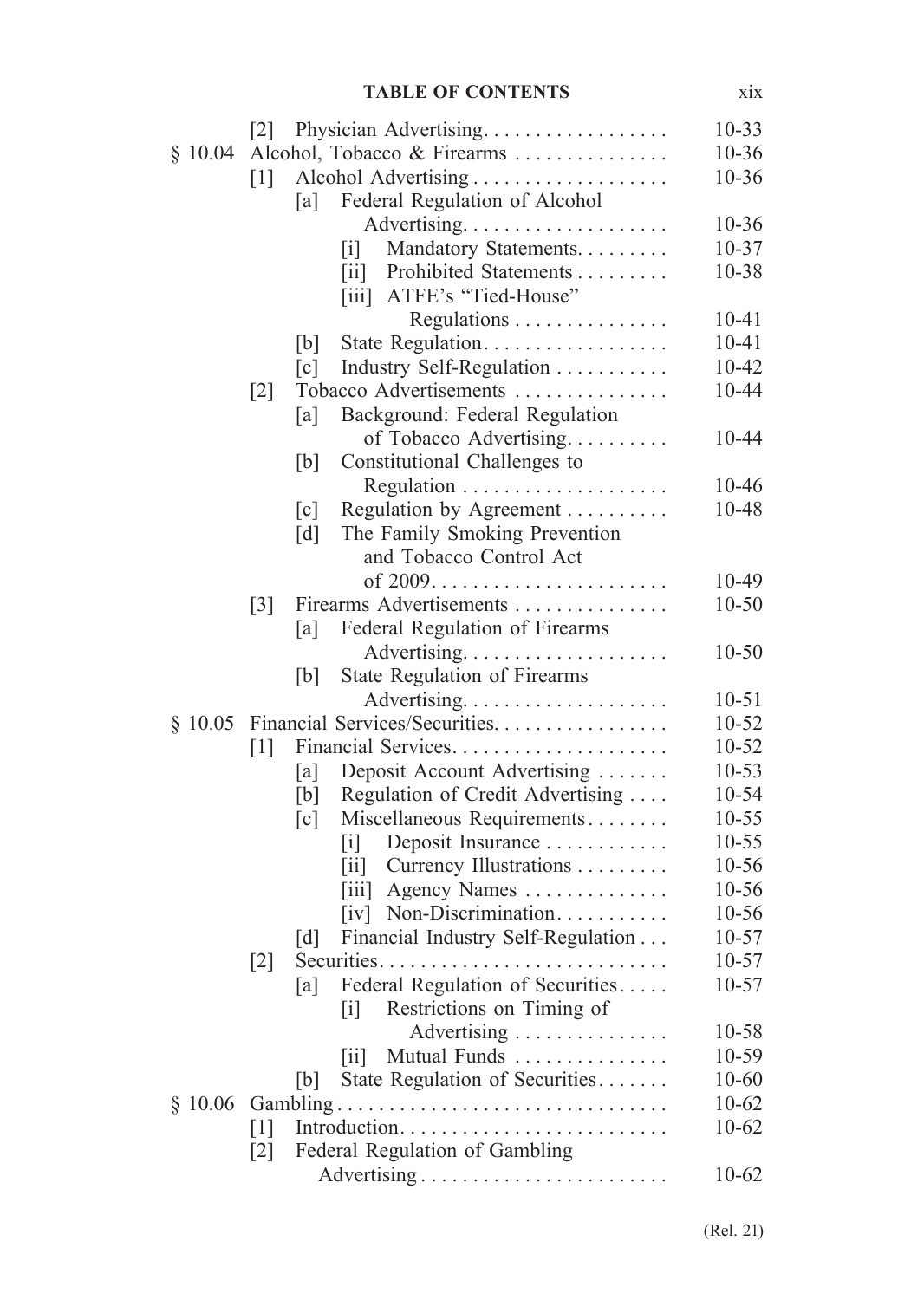#### **TABLE OF CONTENTS** xix

|         | $\lceil 2 \rceil$   | Physician Advertising                                                        | $10 - 33$ |
|---------|---------------------|------------------------------------------------------------------------------|-----------|
| \$10.04 |                     | Alcohol, Tobacco & Firearms                                                  | $10 - 36$ |
|         | $\lceil 1 \rceil$   | Alcohol Advertising                                                          | $10 - 36$ |
|         | [a]                 | Federal Regulation of Alcohol                                                |           |
|         |                     |                                                                              | $10 - 36$ |
|         |                     | Mandatory Statements.<br> 1                                                  | $10 - 37$ |
|         |                     | Prohibited Statements<br>$\left\lceil \text{ii} \right\rceil$                | $10 - 38$ |
|         |                     | ATFE's "Tied-House"<br>$\left\lceil \text{i} \text{i} \text{i} \right\rceil$ |           |
|         |                     | Regulations                                                                  | $10 - 41$ |
|         | [b]                 | State Regulation                                                             | $10 - 41$ |
|         | $\lceil c \rceil$   | Industry Self-Regulation                                                     | $10 - 42$ |
|         | $[2]$               | Tobacco Advertisements                                                       | 10-44     |
|         | [a]                 | Background: Federal Regulation                                               |           |
|         |                     | of Tobacco Advertising                                                       | 10-44     |
|         | [b]                 | Constitutional Challenges to                                                 |           |
|         |                     |                                                                              | 10-46     |
|         | $\lceil c \rceil$   | Regulation by Agreement                                                      | 10-48     |
|         | $\lceil d \rceil$   | The Family Smoking Prevention                                                |           |
|         |                     | and Tobacco Control Act                                                      |           |
|         |                     |                                                                              | 10-49     |
|         | $\lceil 3 \rceil$   | Firearms Advertisements                                                      | $10 - 50$ |
|         | [a]                 | Federal Regulation of Firearms                                               |           |
|         |                     |                                                                              | $10 - 50$ |
|         | [b]                 | State Regulation of Firearms                                                 |           |
|         |                     |                                                                              | $10 - 51$ |
| \$10.05 |                     | Financial Services/Securities.                                               | $10 - 52$ |
|         | $\lceil 1 \rceil$   | Financial Services                                                           | $10 - 52$ |
|         | [a]                 | Deposit Account Advertising                                                  | $10 - 53$ |
|         | [b]                 | Regulation of Credit Advertising                                             | 10-54     |
|         | $\lceil c \rceil$   | Miscellaneous Requirements                                                   | $10 - 55$ |
|         |                     | Deposit Insurance<br>$\lceil i \rceil$                                       | $10 - 55$ |
|         |                     | Currency Illustrations<br>$\left\lceil \text{i} \right\rceil$                | 10-56     |
|         |                     | Agency Names<br>$\left\lceil \text{iii} \right\rceil$                        | 10-56     |
|         |                     | [iv] Non-Discrimination                                                      | 10-56     |
|         | $\lceil d \rceil$   | Financial Industry Self-Regulation                                           | $10 - 57$ |
|         | $\lceil 2 \rceil$   |                                                                              | $10 - 57$ |
|         | [a]                 | Federal Regulation of Securities                                             | $10 - 57$ |
|         |                     | Restrictions on Timing of<br>$\lceil i \rceil$                               |           |
|         |                     | Advertising                                                                  | 10-58     |
|         |                     | Mutual Funds<br>$\left\lceil \text{i} \right\rceil$                          | 10-59     |
|         | b                   | State Regulation of Securities                                               | $10 - 60$ |
|         | $§$ 10.06 Gambling. |                                                                              | $10 - 62$ |
|         | $\lceil 1 \rceil$   |                                                                              | $10 - 62$ |
|         | $\lceil 2 \rceil$   | Federal Regulation of Gambling                                               |           |
|         |                     |                                                                              | $10-62$   |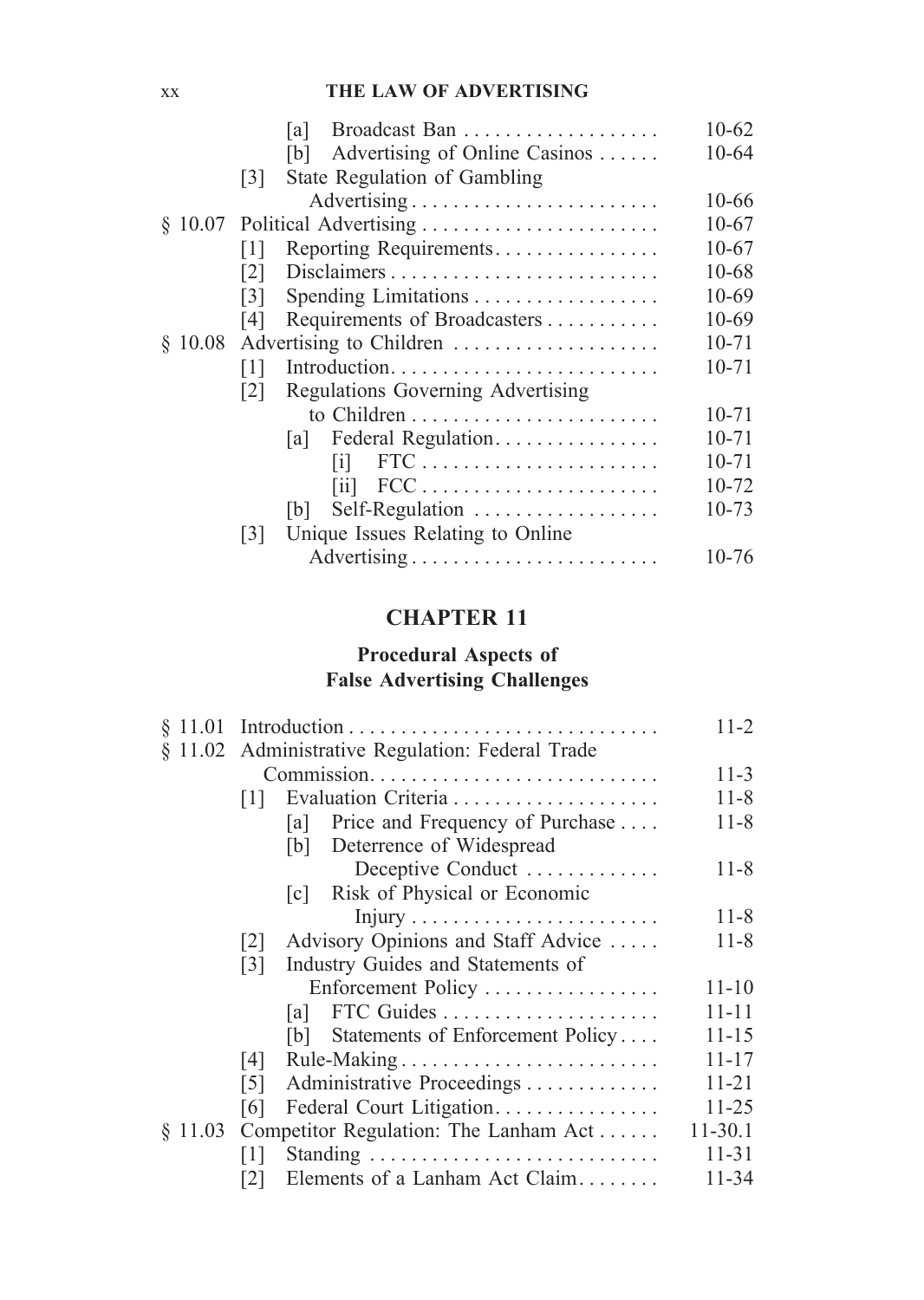### xx **THE LAW OF ADVERTISING**

|         |      | lal                                  | $10 - 62$ |
|---------|------|--------------------------------------|-----------|
|         |      | Advertising of Online Casinos<br>[b] | 10-64     |
|         | 3    | State Regulation of Gambling         |           |
|         |      |                                      | 10-66     |
|         |      |                                      | 10-67     |
|         | 1    | Reporting Requirements               | $10-67$   |
|         | 2    |                                      | 10-68     |
|         | 3    |                                      | 10-69     |
|         | 14 I | Requirements of Broadcasters         | 10-69     |
| 8 10.08 |      | Advertising to Children              | $10 - 71$ |
|         | 1    | Introduction                         | 10-71     |
|         | 2    | Regulations Governing Advertising    |           |
|         |      |                                      | $10 - 71$ |
|         |      | Federal Regulation.<br>lal I         | $10 - 71$ |
|         |      | $FTC$<br>$\lceil i \rceil$           | 10-71     |
|         |      | $\overline{\mathbf{u}}$              | 10-72     |
|         |      | Self-Regulation<br>[b]               | 10-73     |
|         | 3    | Unique Issues Relating to Online     |           |
|         |      |                                      | 10-76     |
|         |      |                                      |           |

# **CHAPTER 11**

# **Procedural Aspects of False Advertising Challenges**

| § 11.01 |                   |                                                  |             |  |  |  |
|---------|-------------------|--------------------------------------------------|-------------|--|--|--|
|         |                   | § 11.02 Administrative Regulation: Federal Trade |             |  |  |  |
|         |                   |                                                  | $11-3$      |  |  |  |
|         | 1                 |                                                  | $11 - 8$    |  |  |  |
|         |                   | Price and Frequency of Purchase<br>lal l         | $11 - 8$    |  |  |  |
|         |                   | [b] Deterrence of Widespread                     |             |  |  |  |
|         |                   | Deceptive Conduct                                | $11 - 8$    |  |  |  |
|         |                   | Risk of Physical or Economic<br> c               |             |  |  |  |
|         |                   |                                                  | $11 - 8$    |  |  |  |
|         | 2                 | Advisory Opinions and Staff Advice               | $11 - 8$    |  |  |  |
|         | 3                 | Industry Guides and Statements of                |             |  |  |  |
|         |                   | Enforcement Policy                               | $11 - 10$   |  |  |  |
|         |                   |                                                  | $11 - 11$   |  |  |  |
|         |                   | [b] Statements of Enforcement Policy             | 11-15       |  |  |  |
|         | $\lceil 4 \rceil$ | Rule-Making                                      | $11 - 17$   |  |  |  |
|         | $\lceil 5 \rceil$ | Administrative Proceedings                       | $11 - 21$   |  |  |  |
|         | [6]               | Federal Court Litigation.                        | $11 - 25$   |  |  |  |
| \$11.03 |                   | Competitor Regulation: The Lanham Act            | $11 - 30.1$ |  |  |  |
|         | $\lceil 1 \rceil$ |                                                  | $11 - 31$   |  |  |  |
|         | 2                 | Elements of a Lanham Act Claim                   | 11-34       |  |  |  |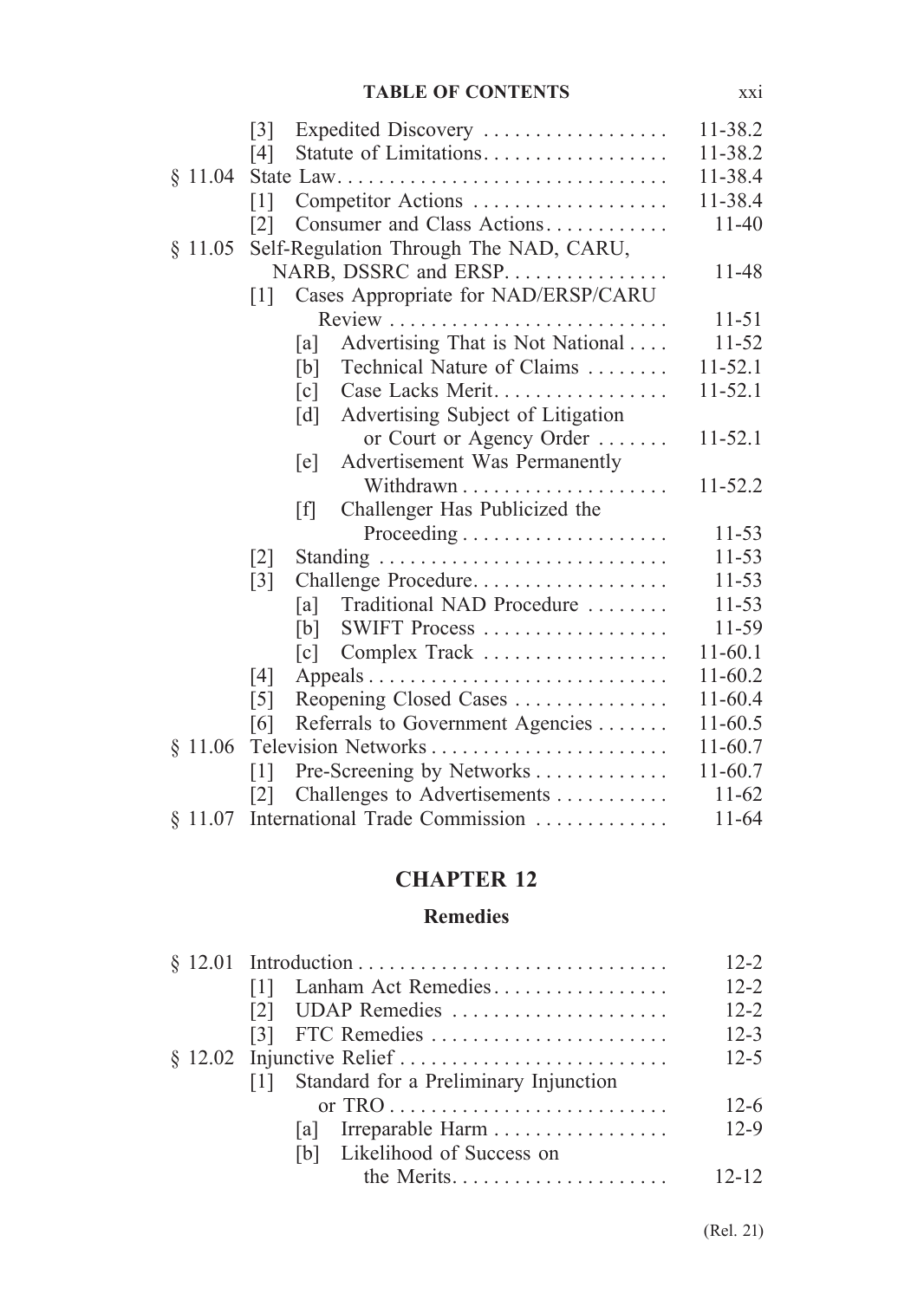|         | Expedited Discovery<br>$\lceil 3 \rceil$                 | 11-38.2     |
|---------|----------------------------------------------------------|-------------|
|         | Statute of Limitations<br>[4]                            | 11-38.2     |
| \$11.04 | State Law                                                | 11-38.4     |
|         | Competitor Actions<br>$\lceil 1 \rceil$                  | 11-38.4     |
|         | Consumer and Class Actions<br> 2                         | $11 - 40$   |
| \$11.05 | Self-Regulation Through The NAD, CARU,                   |             |
|         | NARB, DSSRC and ERSP.                                    | 11-48       |
|         | Cases Appropriate for NAD/ERSP/CARU<br>$\lceil 1 \rceil$ |             |
|         |                                                          | $11 - 51$   |
|         | Advertising That is Not National<br> a                   | $11 - 52$   |
|         | Technical Nature of Claims<br>[b]                        | $11 - 52.1$ |
|         | Case Lacks Merit<br>$\lceil c \rceil$                    | $11 - 52.1$ |
|         | Advertising Subject of Litigation<br>$\lceil d \rceil$   |             |
|         | or Court or Agency Order                                 | $11 - 52.1$ |
|         | Advertisement Was Permanently<br>[e]                     |             |
|         |                                                          | $11 - 52.2$ |
|         | Challenger Has Publicized the<br>[f]                     |             |
|         |                                                          | $11 - 53$   |
|         | $\lceil 2 \rceil$                                        | $11 - 53$   |
|         | Challenge Procedure<br>$\lceil 3 \rceil$                 | $11 - 53$   |
|         | Traditional NAD Procedure<br>[a]                         | $11 - 53$   |
|         | SWIFT Process<br>[b]                                     | 11-59       |
|         | Complex Track<br> c                                      | $11-60.1$   |
|         | [4]                                                      | $11-60.2$   |
|         | Reopening Closed Cases<br>$\lceil 5 \rceil$              | 11-60.4     |
|         | Referrals to Government Agencies<br>[6]                  | 11-60.5     |
| \$11.06 |                                                          | 11-60.7     |
|         | Pre-Screening by Networks<br>$\lceil 1 \rceil$           | $11-60.7$   |
|         | Challenges to Advertisements<br> 2                       | $11-62$     |
| § 11.07 | International Trade Commission                           | $11 - 64$   |

#### **CHAPTER 12**

#### **Remedies**

|                                           | $12-2$    |
|-------------------------------------------|-----------|
| Lanham Act Remedies<br> 1                 | $12 - 2$  |
|                                           | $12 - 2$  |
|                                           | $12 - 3$  |
|                                           | $12 - 5$  |
| [1] Standard for a Preliminary Injunction |           |
|                                           | $12-6$    |
|                                           | $12-9$    |
| [b] Likelihood of Success on              |           |
|                                           | $12 - 12$ |
|                                           |           |

(Rel. 21)